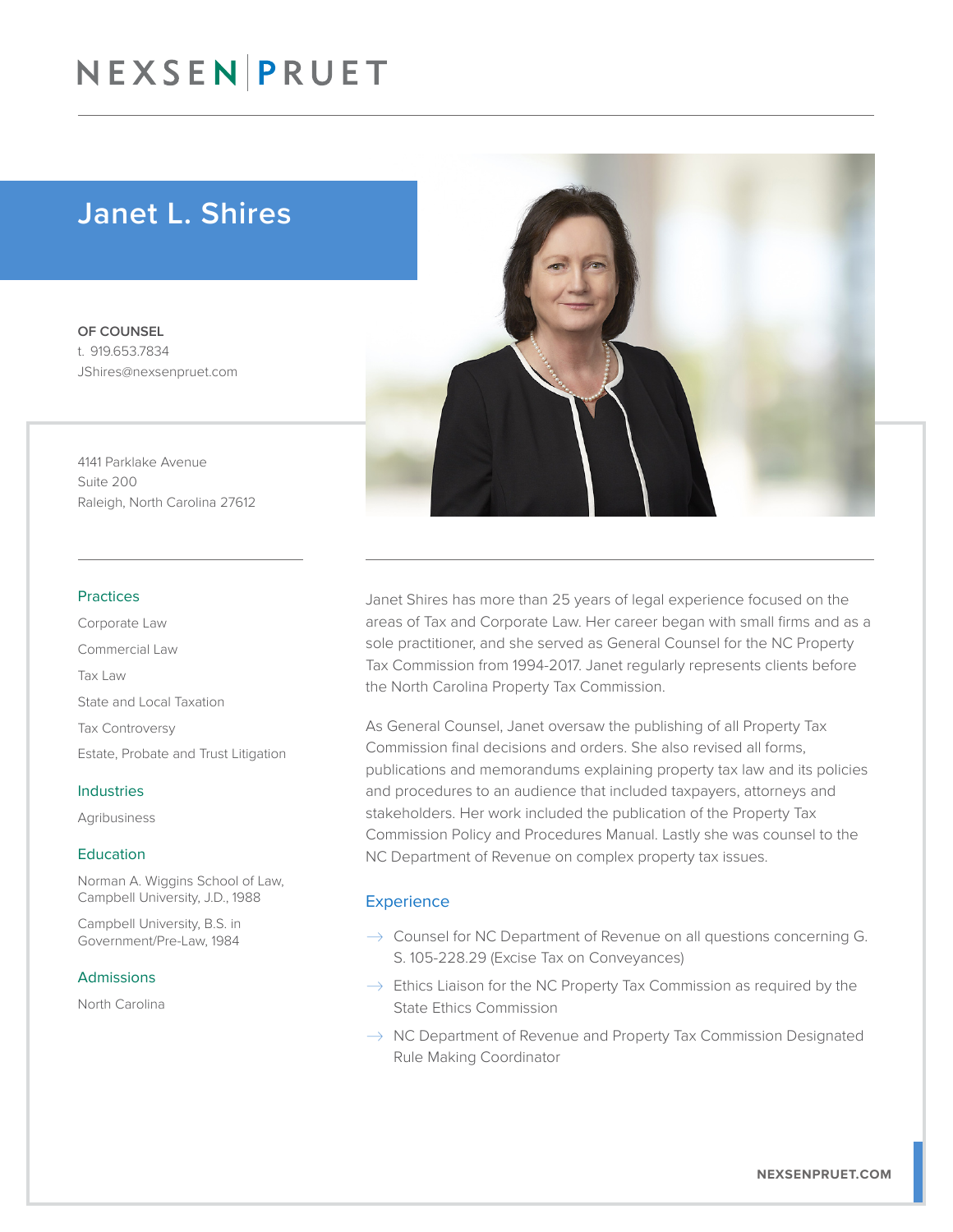## NEXSEN PRUET

### Janet L. Shires

OF COUNSEL t. 919.653.7834 JShires@nexsenpruet.com

4141 Parklake Avenue Suite 200 Raleigh, North Carolina 27612

#### Practices

Corporate Law Commercial Law Tax Law State and Local Taxation Tax Controversy Estate, Probate and Trust Litigation

#### Industries

Agribusiness

#### Education

Norman A. Wiggins School of Law, Campbell University, J.D., 1988

Campbell University, B.S. in Government/Pre-Law, 1984

#### Admissions

North Carolina



Janet Shires has more than 25 years of legal experience focused on the areas of Tax and Corporate Law. Her career began with small firms and as a sole practitioner, and she served as General Counsel for the NC Property Tax Commission from 1994-2017. Janet regularly represents clients before the North Carolina Property Tax Commission.

As General Counsel, Janet oversaw the publishing of all Property Tax Commission final decisions and orders. She also revised all forms, publications and memorandums explaining property tax law and its policies and procedures to an audience that included taxpayers, attorneys and stakeholders. Her work included the publication of the Property Tax Commission Policy and Procedures Manual. Lastly she was counsel to the NC Department of Revenue on complex property tax issues.

#### **Experience**

- $\rightarrow$  Counsel for NC Department of Revenue on all questions concerning G. S. 105-228.29 (Excise Tax on Conveyances)
- $\rightarrow$  Ethics Liaison for the NC Property Tax Commission as required by the State Ethics Commission
- $\rightarrow$  NC Department of Revenue and Property Tax Commission Designated Rule Making Coordinator